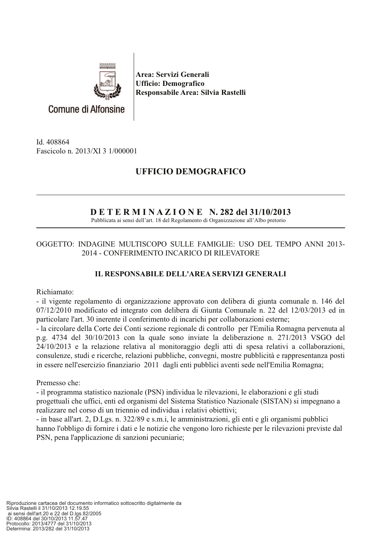

Area: Servizi Generali **Ufficio: Demografico** Responsabile Area: Silvia Rastelli

Id. 408864 Fascicolo n. 2013/XI 3 1/000001

# **UFFICIO DEMOGRAFICO**

## $D E T E R M I N A Z I O N E N. 282 del 31/10/2013$

Pubblicata ai sensi dell'art. 18 del Regolamento di Organizzazione all'Albo pretorio

#### OGGETTO: INDAGINE MULTISCOPO SULLE FAMIGLIE: USO DEL TEMPO ANNI 2013-2014 - CONFERIMENTO INCARICO DI RILEVATORE

### **IL RESPONSABILE DELL'AREA SERVIZI GENERALI**

Richiamato:

- il vigente regolamento di organizzazione approvato con delibera di giunta comunale n. 146 del  $07/12/2010$  modificato ed integrato con delibera di Giunta Comunale n. 22 del 12/03/2013 ed in particolare l'art. 30 inerente il conferimento di incarichi per collaborazioni esterne;

- la circolare della Corte dei Conti sezione regionale di controllo per l'Emilia Romagna pervenuta al p.g. 4734 del 30/10/2013 con la quale sono inviate la deliberazione n. 271/2013 VSGO del 24/10/2013 e la relazione relativa al monitoraggio degli atti di spesa relativi a collaborazioni, consulenze, studi e ricerche, relazioni pubbliche, convegni, mostre pubblicità e rappresentanza posti in essere nell'esercizio finanziario 2011 dagli enti pubblici aventi sede nell'Emilia Romagna;

Premesso che:

- il programma statistico nazionale (PSN) individua le rilevazioni, le elaborazioni e gli studi progettuali che uffici, enti ed organismi del Sistema Statistico Nazionale (SISTAN) si impegnano a realizzare nel corso di un triennio ed individua i relativi obiettivi;

- in base all'art. 2, D.Lgs. n. 322/89 e s.m.i, le amministrazioni, gli enti e gli organismi pubblici hanno l'obbligo di fornire i dati e le notizie che vengono loro richieste per le rilevazioni previste dal PSN, pena l'applicazione di sanzioni pecuniarie;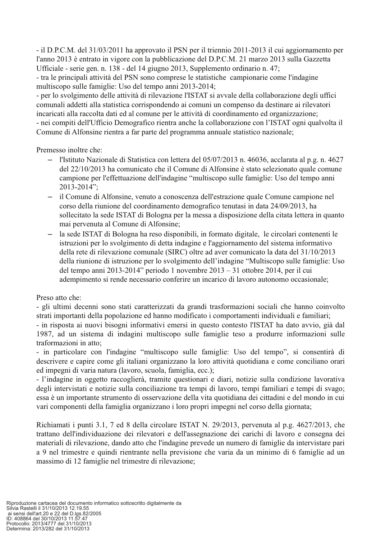- il D.P.C.M. del 31/03/2011 ha approvato il PSN per il triennio 2011-2013 il cui aggiornamento per l'anno 2013 è entrato in vigore con la pubblicazione del D.P.C.M. 21 marzo 2013 sulla Gazzetta Ufficiale - serie gen. n. 138 - del 14 giugno 2013, Supplemento ordinario n. 47; - tra le principali attività del PSN sono comprese le statistiche campionarie come l'indagine multiscopo sulle famiglie: Uso del tempo anni 2013-2014;

- per lo svolgimento delle attività di rilevazione l'ISTAT si avvale della collaborazione degli uffici comunali addetti alla statistica corrispondendo ai comuni un compenso da destinare ai rilevatori incaricati alla raccolta dati ed al comune per le attività di coordinamento ed organizzazione; - nei compiti dell'Ufficio Demografico rientra anche la collaborazione con l'ISTAT ogni qualvolta il Comune di Alfonsine rientra a far parte del programma annuale statistico nazionale;

Premesso inoltre che:

- l'Istituto Nazionale di Statistica con lettera del 05/07/2013 n. 46036, acclarata al p.g. n. 4627  $\equiv$ del 22/10/2013 ha comunicato che il Comune di Alfonsine è stato selezionato quale comune campione per l'effettuazione dell'indagine "multiscopo sulle famiglie: Uso del tempo anni 2013-2014":
- il Comune di Alfonsine, venuto a conoscenza dell'estrazione quale Comune campione nel corso della riunione del coordinamento demografico tenutasi in data 24/09/2013, ha sollecitato la sede ISTAT di Bologna per la messa a disposizione della citata lettera in quanto mai pervenuta al Comune di Alfonsine:
- la sede ISTAT di Bologna ha reso disponibili, in formato digitale, le circolari contenenti le istruzioni per lo svolgimento di detta indagine e l'aggiornamento del sistema informativo della rete di rilevazione comunale (SIRC) oltre ad aver comunicato la data del 31/10/2013 della riunione di istruzione per lo svolgimento dell'indagine "Multiscopo sulle famiglie: Uso del tempo anni 2013-2014" periodo 1 novembre  $2013 - 31$  ottobre 2014, per il cui adempimento si rende necessario conferire un incarico di lavoro autonomo occasionale;

Preso atto che:

- gli ultimi decenni sono stati caratterizzati da grandi trasformazioni sociali che hanno coinvolto strati importanti della popolazione ed hanno modificato i comportamenti individuali e familiari;

- in risposta ai nuovi bisogni informativi emersi in questo contesto l'ISTAT ha dato avvio, già dal 1987, ad un sistema di indagini multiscopo sulle famiglie teso a produrre informazioni sulle traformazioni in atto;

- in particolare con l'indagine "multiscopo sulle famiglie: Uso del tempo", si consentirà di descrivere e capire come gli italiani organizzano la loro attività quotidiana e come conciliano orari ed impegni di varia natura (lavoro, scuola, famiglia, ecc.);

- l'indagine in oggetto raccoglierà, tramite questionari e diari, notizie sulla condizione lavorativa degli intervistati e notizie sulla conciliazione tra tempi di lavoro, tempi familiari e tempi di svago; essa è un importante strumento di osservazione della vita quotidiana dei cittadini e del mondo in cui vari componenti della famiglia organizzano i loro propri impegni nel corso della giornata;

Richiamati i punti 3.1, 7 ed 8 della circolare ISTAT N. 29/2013, pervenuta al p.g. 4627/2013, che trattano dell'individuazione dei rilevatori e dell'assegnazione dei carichi di lavoro e consegna dei materiali di rilevazione, dando atto che l'indagine prevede un numero di famiglie da intervistare pari a 9 nel trimestre e quindi rientrante nella previsione che varia da un minimo di 6 famiglie ad un massimo di 12 famiglie nel trimestre di rilevazione;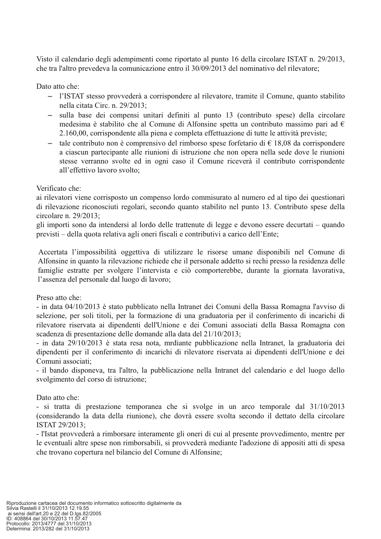Visto il calendario degli adempimenti come riportato al punto 16 della circolare ISTAT n. 29/2013, che tra l'altro prevedeva la comunicazione entro il 30/09/2013 del nominativo del rilevatore;

Dato atto che:

- l'ISTAT stesso provvederà a corrispondere al rilevatore, tramite il Comune, quanto stabilito nella citata Circ. n. 29/2013;
- $\,$ sulla base dei compensi unitari definiti al punto 13 (contributo spese) della circolare medesima è stabilito che al Comune di Alfonsine spetta un contributo massimo pari ad  $\epsilon$ 2.160,00, corrispondente alla piena e completa effettuazione di tutte le attività previste;
- tale contributo non è comprensivo del rimborso spese forfetario di  $\epsilon$  18,08 da corrispondere  $\equiv$ a ciascun partecipante alle riunioni di istruzione che non opera nella sede dove le riunioni stesse verranno svolte ed in ogni caso il Comune riceverà il contributo corrispondente all'effettivo lavoro svolto;

#### Verificato che:

ai rilevatori viene corrisposto un compenso lordo commisurato al numero ed al tipo dei questionari di rilevazione riconosciuti regolari, secondo quanto stabilito nel punto 13. Contributo spese della circolare n.  $29/2013$ :

gli importi sono da intendersi al lordo delle trattenute di legge e devono essere decurtati – quando previsti – della quota relativa agli oneri fiscali e contributivi a carico dell'Ente;

Accertata l'impossibilità oggettiva di utilizzare le risorse umane disponibili nel Comune di Alfonsine in quanto la rilevazione richiede che il personale addetto si rechi presso la residenza delle famiglie estratte per svolgere l'intervista e ciò comporterebbe, durante la giornata lavorativa, l'assenza del personale dal luogo di lavoro;

Preso atto che:

- in data 04/10/2013 è stato pubblicato nella Intranet dei Comuni della Bassa Romagna l'avviso di selezione, per soli titoli, per la formazione di una graduatoria per il conferimento di incarichi di rilevatore riservata ai dipendenti dell'Unione e dei Comuni associati della Bassa Romagna con scadenza di presentazione delle domande alla data del 21/10/2013;

- in data 29/10/2013 è stata resa nota, mrdiante pubblicazione nella Intranet, la graduatoria dei dipendenti per il conferimento di incarichi di rilevatore riservata ai dipendenti dell'Unione e dei Comuni associati:

- il bando disponeva, tra l'altro, la pubblicazione nella Intranet del calendario e del luogo dello svolgimento del corso di istruzione;

Dato atto che:

- si tratta di prestazione temporanea che si svolge in un arco temporale dal 31/10/2013 (considerando la data della riunione), che dovrà essere svolta secondo il dettato della circolare ISTAT 29/2013:

- l'Istat provvederà a rimborsare interamente gli oneri di cui al presente provvedimento, mentre per le eventuali altre spese non rimborsabili, si provvederà mediante l'adozione di appositi atti di spesa che trovano copertura nel bilancio del Comune di Alfonsine;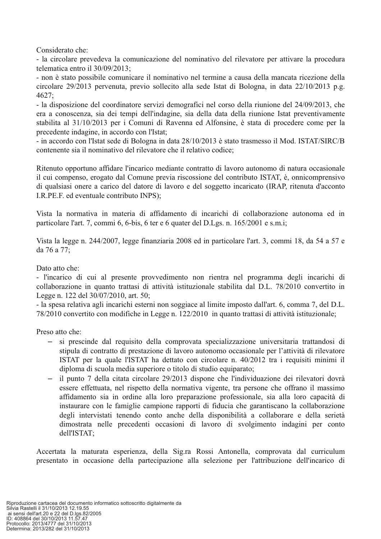Considerato che:

- la circolare prevedeva la comunicazione del nominativo del rilevatore per attivare la procedura telematica entro il 30/09/2013:

- non è stato possibile comunicare il nominativo nel termine a causa della mancata ricezione della circolare 29/2013 pervenuta, previo sollecito alla sede Istat di Bologna, in data 22/10/2013 p.g.  $4627:$ 

- la disposizione del coordinatore servizi demografici nel corso della riunione del 24/09/2013, che era a conoscenza, sia dei tempi dell'indagine, sia della data della riunione Istat preventivamente stabilita al 31/10/2013 per i Comuni di Ravenna ed Alfonsine, è stata di procedere come per la precedente indagine, in accordo con l'Istat;

- in accordo con l'Istat sede di Bologna in data 28/10/2013 è stato trasmesso il Mod. ISTAT/SIRC/B contenente sia il nominativo del rilevatore che il relativo codice;

Ritenuto opportuno affidare l'incarico mediante contratto di lavoro autonomo di natura occasionale il cui compenso, erogato dal Comune previa riscossione del contributo ISTAT, è, onnicomprensivo di qualsiasi onere a carico del datore di lavoro e del soggetto incaricato (IRAP, ritenuta d'acconto I.R.PE.F. ed eventuale contributo INPS);

Vista la normativa in materia di affidamento di incarichi di collaborazione autonoma ed in particolare l'art. 7, commi 6, 6-bis, 6 ter e 6 quater del D.Lgs. n. 165/2001 e s.m.i;

Vista la legge n. 244/2007, legge finanziaria 2008 ed in particolare l'art. 3, commi 18, da 54 a 57 e da 76 a 77:

Dato atto che:

- l'incarico di cui al presente provvedimento non rientra nel programma degli incarichi di collaborazione in quanto trattasi di attività istituzionale stabilita dal D.L. 78/2010 convertito in Legge n. 122 del 30/07/2010, art. 50;

- la spesa relativa agli incarichi esterni non soggiace al limite imposto dall'art. 6, comma 7, del D.L. 78/2010 convertito con modifiche in Legge n. 122/2010 in quanto trattasi di attività istituzionale;

Preso atto che:

- si prescinde dal requisito della comprovata specializzazione universitaria trattandosi di  $\equiv$ stipula di contratto di prestazione di lavoro autonomo occasionale per l'attività di rilevatore ISTAT per la quale l'ISTAT ha dettato con circolare n. 40/2012 tra i requisiti minimi il diploma di scuola media superiore o titolo di studio equiparato;
- $-$  il punto 7 della citata circolare 29/2013 dispone che l'individuazione dei rilevatori dovrà essere effettuata, nel rispetto della normativa vigente, tra persone che offrano il massimo affidamento sia in ordine alla loro preparazione professionale, sia alla loro capacità di instaurare con le famiglie campione rapporti di fiducia che garantiscano la collaborazione degli intervistati tenendo conto anche della disponibilità a collaborare e della serietà dimostrata nelle precedenti occasioni di lavoro di svolgimento indagini per conto dell'ISTAT;

Accertata la maturata esperienza, della Sig.ra Rossi Antonella, comprovata dal curriculum presentato in occasione della partecipazione alla selezione per l'attribuzione dell'incarico di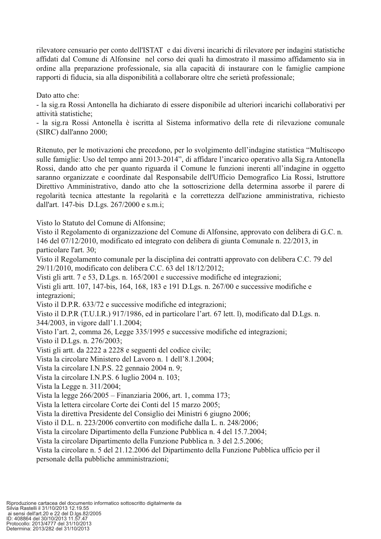rilevatore censuario per conto dell'ISTAT e dai diversi incarichi di rilevatore per indagini statistiche affidati dal Comune di Alfonsine nel corso dei quali ha dimostrato il massimo affidamento sia in ordine alla preparazione professionale, sia alla capacità di instaurare con le famiglie campione rapporti di fiducia, sia alla disponibilità a collaborare oltre che serietà professionale;

Dato atto che:

- la sig.ra Rossi Antonella ha dichiarato di essere disponibile ad ulteriori incarichi collaborativi per attività statistiche;

- la sig.ra Rossi Antonella è iscritta al Sistema informativo della rete di rilevazione comunale (SIRC) dall'anno 2000;

Ritenuto, per le motivazioni che precedono, per lo svolgimento dell'indagine statistica "Multiscopo" sulle famiglie: Uso del tempo anni 2013-2014", di affidare l'incarico operativo alla Sig.ra Antonella Rossi, dando atto che per quanto riguarda il Comune le funzioni inerenti all'indagine in oggetto saranno organizzate e coordinate dal Responsabile dell'Ufficio Demografico Lia Rossi, Istruttore Direttivo Amministrativo, dando atto che la sottoscrizione della determina assorbe il parere di regolarità tecnica attestante la regolarità e la correttezza dell'azione amministrativa, richiesto dall'art. 147-bis D.Lgs. 267/2000 e s.m.i;

Visto lo Statuto del Comune di Alfonsine:

Visto il Regolamento di organizzazione del Comune di Alfonsine, approvato con delibera di G.C. n. 146 del 07/12/2010, modificato ed integrato con delibera di giunta Comunale n. 22/2013, in particolare l'art. 30:

Visto il Regolamento comunale per la disciplina dei contratti approvato con delibera C.C. 79 del 29/11/2010, modificato con delibera C.C. 63 del 18/12/2012;

Visti gli artt. 7 e 53, D.Lgs. n. 165/2001 e successive modifiche ed integrazioni;

Visti gli artt. 107, 147-bis, 164, 168, 183 e 191 D.Lgs. n. 267/00 e successive modifiche e integrazioni;

Visto il D.P.R. 633/72 e successive modifiche ed integrazioni;

Visto il D.P.R (T.U.I.R.) 917/1986, ed in particolare l'art. 67 lett. l), modificato dal D.Lgs. n. 344/2003, in vigore dall'1.1.2004;

Visto l'art. 2, comma 26, Legge 335/1995 e successive modifiche ed integrazioni;

Visto il D.Lgs. n. 276/2003:

Visti gli artt. da 2222 a 2228 e seguenti del codice civile;

Vista la circolare Ministero del Lavoro n. 1 dell'8.1.2004;

Vista la circolare I.N.P.S. 22 gennaio 2004 n. 9;

Vista la circolare I.N.P.S. 6 luglio 2004 n. 103;

Vista la Legge n. 311/2004;

Vista la legge 266/2005 – Finanziaria 2006, art. 1, comma 173;

Vista la lettera circolare Corte dei Conti del 15 marzo 2005;

Vista la direttiva Presidente del Consiglio dei Ministri 6 giugno 2006;

Visto il D.L. n. 223/2006 convertito con modifiche dalla L. n. 248/2006;

Vista la circolare Dipartimento della Funzione Pubblica n. 4 del 15.7.2004;

Vista la circolare Dipartimento della Funzione Pubblica n. 3 del 2.5.2006;

Vista la circolare n. 5 del 21.12.2006 del Dipartimento della Funzione Pubblica ufficio per il personale della pubbliche amministrazioni;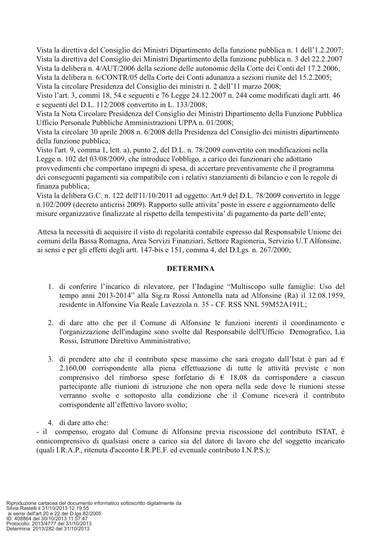Vista la direttiva del Consiglio dei Ministri Dipartimento della funzione pubblica n. 1 dell'1.2.2007; Vista la direttiva del Consiglio dei Ministri Dipartimento della funzione pubblica n. 3 del 22.2.2007 Vista la delibera n. 4/AUT/2006 della sezione delle autonomie della Corte dei Conti del 17.2.2006: Vista la delibera n. 6/CONTR/05 della Corte dei Conti adunanza a sezioni riunite del 15.2.2005; Vista la circolare Presidenza del Consiglio dei ministri n. 2 dell'11 marzo 2008;

Visto l'art. 3, commi 18, 54 e seguenti e 76 Legge 24.12.2007 n. 244 come modificati dagli artt. 46 e seguenti del D.L. 112/2008 convertito in L. 133/2008;

Vista la Nota Circolare Presidenza del Consiglio dei Ministri Dipartimento della Funzione Pubblica Ufficio Personale Pubbliche Amministrazioni UPPA n. 01/2008;

Vista la circolare 30 aprile 2008 n. 6/2008 della Presidenza del Consiglio dei ministri dipartimento della funzione pubblica;

Visto l'art. 9, comma 1, lett. a), punto 2, del D.L. n. 78/2009 convertito con modificazioni nella Legge n. 102 del 03/08/2009, che introduce l'obbligo, a carico dei funzionari che adottano provvedimenti che comportano impegni di spesa, di accertare preventivamente che il programma dei conseguenti pagamenti sia compatibile con i relativi stanziamenti di bilancio e con le regole di finanza pubblica;

Vista la delibera G.C. n. 122 dell'11/10/2011 ad oggetto: Art.9 del D.L. 78/2009 convertito in legge n.102/2009 (decreto anticrisi 2009). Rapporto sulle attivita' poste in essere e aggiornamento delle misure organizzative finalizzate al rispetto della tempestivita' di pagamento da parte dell'ente;

Attesa la necessità di acquisire il visto di regolarità contabile espresso dal Responsabile Unione dei comuni della Bassa Romagna, Area Servizi Finanziari, Settore Ragioneria, Servizio U.T Alfonsine, ai sensi e per gli effetti degli artt. 147-bis e 151, comma 4, del D.Lgs. n. 267/2000;

#### **DETERMINA**

- 1. di conferire l'incarico di rilevatore, per l'Indagine "Multiscopo sulle famiglie: Uso del tempo anni 2013-2014" alla Sig.ra Rossi Antonella nata ad Alfonsine (Ra) il 12.08.1959, residente in Alfonsine Via Reale Lavezzola n. 35 - CF. RSS NNL 59M52A191L;
- 2. di dare atto che per il Comune di Alfonsine le funzioni inerenti il coordinamento e l'organizzazione dell'indagine sono svolte dal Responsabile dell'Ufficio Demografico, Lia Rossi, Istruttore Direttivo Amministrativo;
- 3. di prendere atto che il contributo spese massimo che sarà erogato dall'Istat è pari ad  $\epsilon$ 2.160.00 corrispondente alla piena effettuazione di tutte le attività previste e non comprensivo del rimborso spese forfetario di  $\epsilon$  18,08 da corrispondere a ciascun partecipante alle riunioni di istruzione che non opera nella sede dove le riunioni stesse verranno svolte e sottoposto alla condizione che il Comune riceverà il contributo corrispondente all'effettivo lavoro svolto;
- 4. di dare atto che:

- il compenso, erogato dal Comune di Alfonsine previa riscossione del contributo ISTAT, è onnicomprensivo di qualsiasi onere a carico sia del datore di lavoro che del soggetto incaricato (quali I.R.A.P., ritenuta d'acconto I.R.PE.F. ed evenuale contributo I.N.P.S.);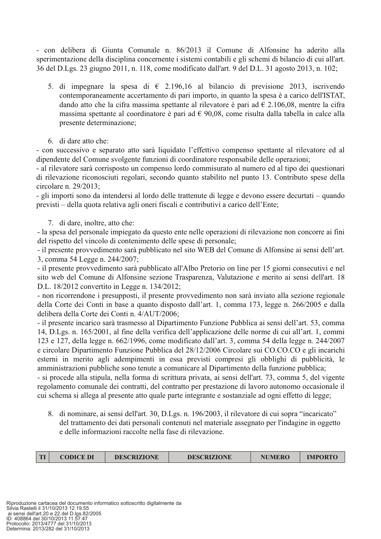- con delibera di Giunta Comunale n. 86/2013 il Comune di Alfonsine ha aderito alla sperimentazione della disciplina concernente i sistemi contabili e gli schemi di bilancio di cui all'art. 36 del D.Lgs. 23 giugno 2011, n. 118, come modificato dall'art. 9 del D.L. 31 agosto 2013, n. 102;

- 5. di impegnare la spesa di  $\epsilon$  2.196,16 al bilancio di previsione 2013, iscrivendo contemporaneamente accertamento di pari importo, in quanto la spesa è a carico dell'ISTAT. dando atto che la cifra massima spettante al rilevatore è pari ad  $\epsilon$  2.106,08, mentre la cifra massima spettante al coordinatore è pari ad  $\epsilon$  90,08, come risulta dalla tabella in calce alla presente determinazione;
- 6. di dare atto che:

- con successivo e separato atto sarà liquidato l'effettivo compenso spettante al rilevatore ed al dipendente del Comune svolgente funzioni di coordinatore responsabile delle operazioni;

- al rilevatore sarà corrisposto un compenso lordo commisurato al numero ed al tipo dei questionari di rilevazione riconosciuti regolari, secondo quanto stabilito nel punto 13. Contributo spese della circolare n. 29/2013;

- gli importi sono da intendersi al lordo delle trattenute di legge e devono essere decurtati – quando previsti – della quota relativa agli oneri fiscali e contributivi a carico dell'Ente;

7. di dare, inoltre, atto che:

- la spesa del personale impiegato da questo ente nelle operazioni di rilevazione non concorre ai fini del rispetto del vincolo di contenimento delle spese di personale;

- il presente provvedimento sarà pubblicato nel sito WEB del Comune di Alfonsine ai sensi dell'art. 3, comma 54 Legge n. 244/2007;

- il presente provvedimento sarà pubblicato all'Albo Pretorio on line per 15 giorni consecutivi e nel sito web del Comune di Alfonsine sezione Trasparenza, Valutazione e merito ai sensi dell'art. 18 D.L. 18/2012 convertito in Legge n. 134/2012;

- non ricorrendone i presupposti, il presente provvedimento non sarà inviato alla sezione regionale della Corte dei Conti in base a quanto disposto dall'art. 1, comma 173, legge n. 266/2005 e dalla delibera della Corte dei Conti n. 4/AUT/2006;

- il presente incarico sarà trasmesso al Dipartimento Funzione Pubblica ai sensi dell'art. 53, comma 14, D.Lgs. n. 165/2001, al fine della verifica dell'applicazione delle norme di cui all'art. 1, commi 123 e 127, della legge n. 662/1996, come modificato dall'art. 3, comma 54 della legge n. 244/2007 e circolare Dipartimento Funzione Pubblica del 28/12/2006 Circolare sui CO.CO.CO e gli incarichi esterni in merito agli adempimenti in essa previsti compresi gli obblighi di pubblicità, le amministrazioni pubbliche sono tenute a comunicare al Dipartimento della funzione pubblica;

- si procede alla stipula, nella forma di scrittura privata, ai sensi dell'art. 73, comma 5, del vigente regolamento comunale dei contratti, del contratto per prestazione di lavoro autonomo occasionale il cui schema si allega al presente atto quale parte integrante e sostanziale ad ogni effetto di legge;

8. di nominare, ai sensi dell'art. 30, D.Lgs. n. 196/2003, il rilevatore di cui sopra "incaricato" del trattamento dei dati personali contenuti nel materiale assegnato per l'indagine in oggetto e delle informazioni raccolte nella fase di rilevazione.

| $\mathbf{m}$ | CODICE DI | <b>DESCRIZIONE</b> | <b>DESCRIZIONE</b> | <b>NUMERO</b> | <b>IMPORTO</b> |
|--------------|-----------|--------------------|--------------------|---------------|----------------|
|--------------|-----------|--------------------|--------------------|---------------|----------------|